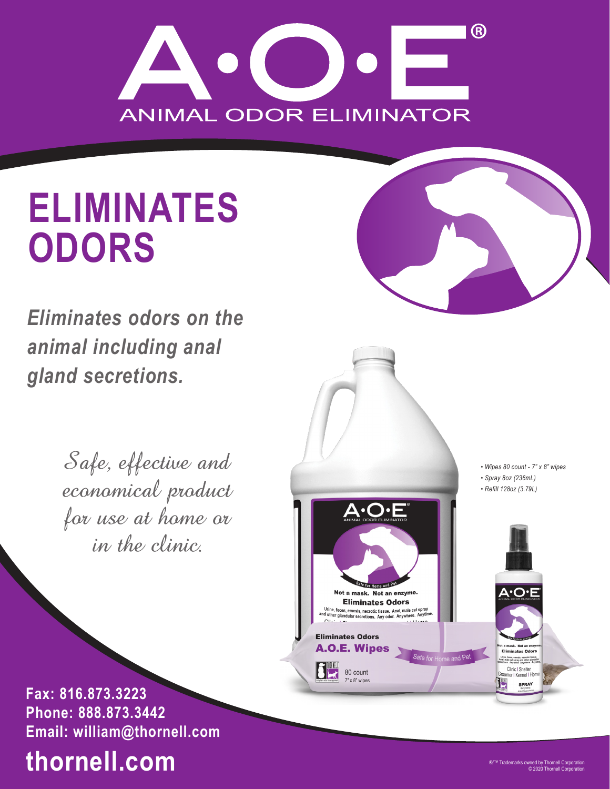

# **ELIMINATES ODORS**

*Eliminates odors on the animal including anal gland secretions.*

> Safe, effective and economical product for use at home or in the clinic.

*• Wipes 80 count - 7" x 8" wipes • Spray 8oz (236mL) • Refill 128oz (3.79L)* A.O.I Not a mask. Not an enzyme. **Eliminates Odors** Urine, feces, emesis, necrotic tissue. Anal, male cat spray<br>and other glandular secretions. Any odor. Anywhere. Anytime **Eliminates Odors A.O.E. Wipes** ek Not an **Eliminates Odors** Safe for Home and Pet .<br>Urine, feces, emesis, necrotic tissu<br>ural, male cat spray and other gland<br>cretions. Any odor. Anywhere. Any 80 count Clinic I Shelter roomer | Kennel | Hon

**Fax: 816.873.3223 Phone: 888.873.3442 Email: william@thornell.com**

# **thornell.com**